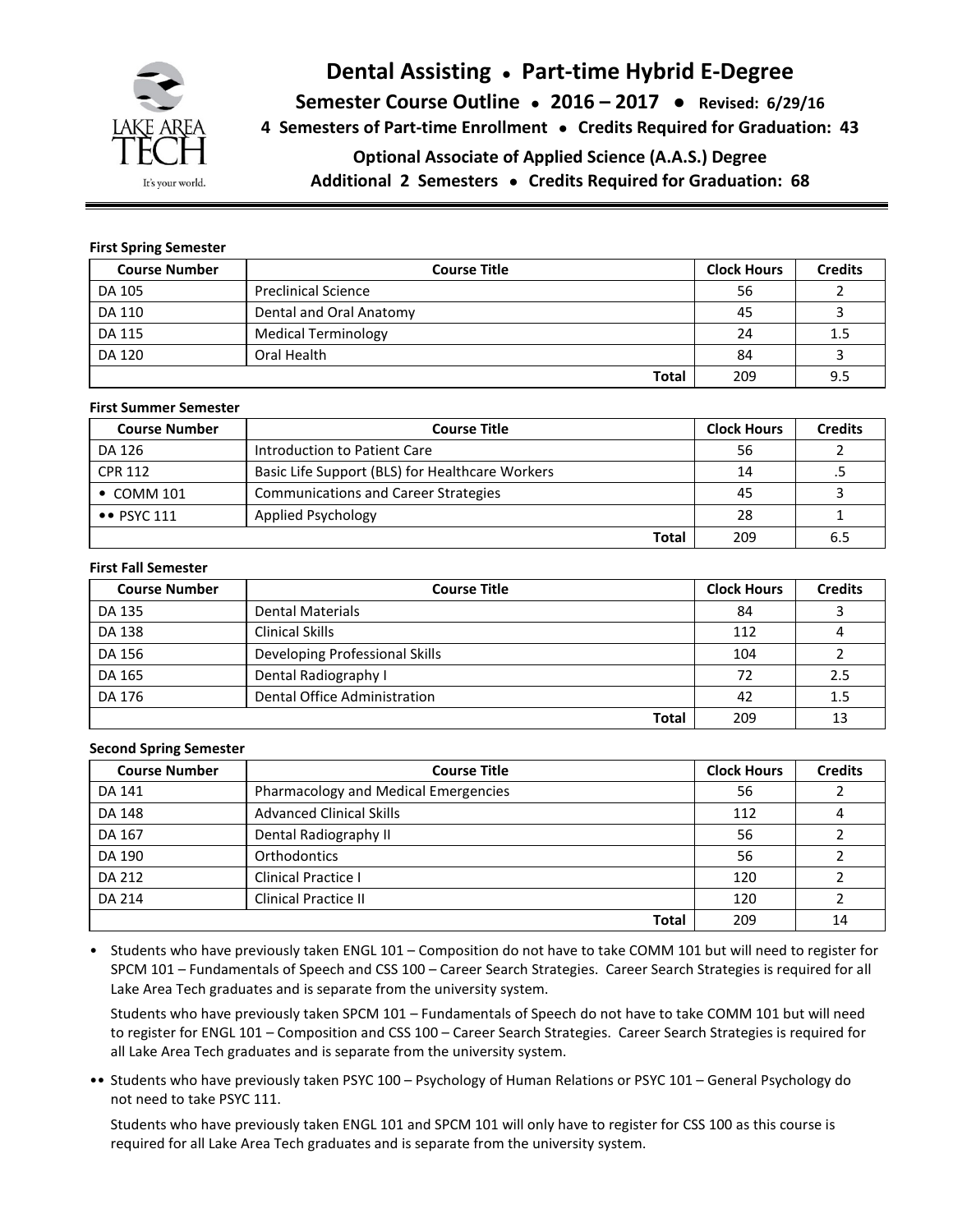

# **Dental Assisting ● Part-time Hybrid E-Degree**

**Semester Course Outline ● 2016 – 2017 ● Revised: 6/29/16**

**4 Semesters of Part-time Enrollment ● Credits Required for Graduation: 43**

**Optional Associate of Applied Science (A.A.S.) Degree**

**Additional 2 Semesters ● Credits Required for Graduation: 68**

# **First Spring Semester**

| <b>Course Number</b> | <b>Course Title</b>        | <b>Clock Hours</b> | <b>Credits</b> |
|----------------------|----------------------------|--------------------|----------------|
| DA 105               | <b>Preclinical Science</b> | 56                 |                |
| DA 110               | Dental and Oral Anatomy    | 45                 |                |
| DA 115               | <b>Medical Terminology</b> | 24                 | 1.5            |
| DA 120               | Oral Health                | 84                 |                |
|                      | <b>Total</b>               | 209                | 9.5            |

#### **First Summer Semester**

| <b>Course Number</b>      | <b>Course Title</b>                             | <b>Clock Hours</b> | <b>Credits</b> |
|---------------------------|-------------------------------------------------|--------------------|----------------|
| DA 126                    | Introduction to Patient Care                    | 56                 |                |
| <b>CPR 112</b>            | Basic Life Support (BLS) for Healthcare Workers | 14                 |                |
| $\bullet$ COMM 101        | <b>Communications and Career Strategies</b>     | 45                 |                |
| $\bullet\bullet$ PSYC 111 | Applied Psychology                              | 28                 |                |
|                           | Total                                           | 209                | 6.5            |

#### **First Fall Semester**

| <b>Course Number</b> | <b>Course Title</b>            | <b>Clock Hours</b> | <b>Credits</b> |
|----------------------|--------------------------------|--------------------|----------------|
| DA 135               | <b>Dental Materials</b>        | 84                 |                |
| DA 138               | <b>Clinical Skills</b>         | 112                |                |
| DA 156               | Developing Professional Skills | 104                |                |
| DA 165               | Dental Radiography I           | 72                 | 2.5            |
| DA 176               | Dental Office Administration   | 42                 | 1.5            |
|                      | Total                          | 209                | 13             |

# **Second Spring Semester**

| <b>Course Number</b> | <b>Course Title</b>                  | <b>Clock Hours</b> | <b>Credits</b> |
|----------------------|--------------------------------------|--------------------|----------------|
| DA 141               | Pharmacology and Medical Emergencies | 56                 |                |
| DA 148               | <b>Advanced Clinical Skills</b>      | 112                |                |
| DA 167               | Dental Radiography II                | 56                 |                |
| DA 190               | <b>Orthodontics</b>                  | 56                 |                |
| DA 212               | Clinical Practice I                  | 120                |                |
| DA 214               | <b>Clinical Practice II</b>          | 120                |                |
|                      | <b>Total</b>                         | 209                | 14             |

• Students who have previously taken ENGL 101 – Composition do not have to take COMM 101 but will need to register for SPCM 101 – Fundamentals of Speech and CSS 100 – Career Search Strategies. Career Search Strategies is required for all Lake Area Tech graduates and is separate from the university system.

Students who have previously taken SPCM 101 – Fundamentals of Speech do not have to take COMM 101 but will need to register for ENGL 101 – Composition and CSS 100 – Career Search Strategies. Career Search Strategies is required for all Lake Area Tech graduates and is separate from the university system.

•• Students who have previously taken PSYC 100 – Psychology of Human Relations or PSYC 101 – General Psychology do not need to take PSYC 111.

Students who have previously taken ENGL 101 and SPCM 101 will only have to register for CSS 100 as this course is required for all Lake Area Tech graduates and is separate from the university system.